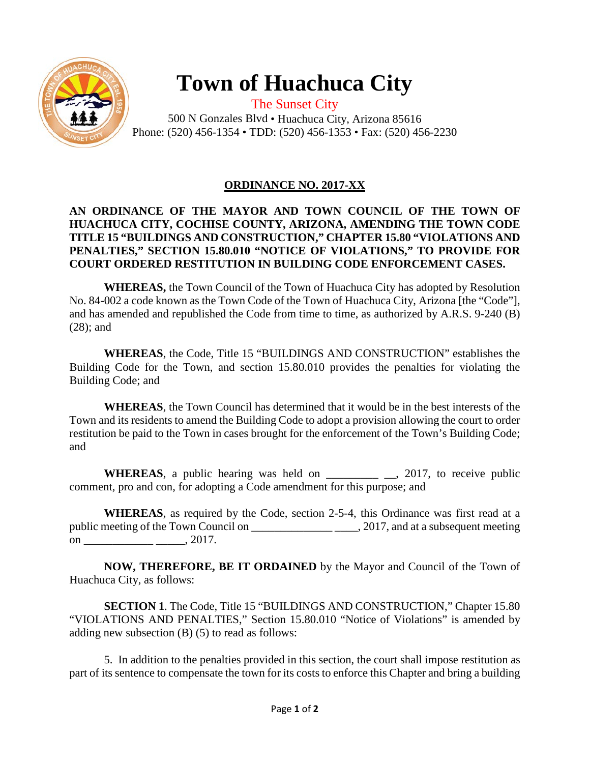

# **Town of Huachuca City**

The Sunset City 500 N Gonzales Blvd • Huachuca City, Arizona 85616 Phone: (520) 456-1354 • TDD: (520) 456-1353 • Fax: (520) 456-2230

## **ORDINANCE NO. 2017-XX**

### **AN ORDINANCE OF THE MAYOR AND TOWN COUNCIL OF THE TOWN OF HUACHUCA CITY, COCHISE COUNTY, ARIZONA, AMENDING THE TOWN CODE TITLE 15 "BUILDINGS AND CONSTRUCTION," CHAPTER 15.80 "VIOLATIONS AND PENALTIES," SECTION 15.80.010 "NOTICE OF VIOLATIONS," TO PROVIDE FOR COURT ORDERED RESTITUTION IN BUILDING CODE ENFORCEMENT CASES.**

**WHEREAS,** the Town Council of the Town of Huachuca City has adopted by Resolution No. 84-002 a code known as the Town Code of the Town of Huachuca City, Arizona [the "Code"], and has amended and republished the Code from time to time, as authorized by A.R.S. 9-240 (B) (28); and

**WHEREAS**, the Code, Title 15 "BUILDINGS AND CONSTRUCTION" establishes the Building Code for the Town, and section 15.80.010 provides the penalties for violating the Building Code; and

**WHEREAS**, the Town Council has determined that it would be in the best interests of the Town and its residents to amend the Building Code to adopt a provision allowing the court to order restitution be paid to the Town in cases brought for the enforcement of the Town's Building Code; and

WHEREAS, a public hearing was held on \_\_\_\_\_\_\_\_\_\_\_\_\_\_\_\_, 2017, to receive public comment, pro and con, for adopting a Code amendment for this purpose; and

**WHEREAS**, as required by the Code, section 2-5-4, this Ordinance was first read at a public meeting of the Town Council on \_\_\_\_\_\_\_\_\_\_\_\_\_\_ \_\_\_\_, 2017, and at a subsequent meeting on \_\_\_\_\_\_\_\_\_\_\_\_ \_\_\_\_\_, 2017.

**NOW, THEREFORE, BE IT ORDAINED** by the Mayor and Council of the Town of Huachuca City, as follows:

**SECTION 1**. The Code, Title 15 "BUILDINGS AND CONSTRUCTION," Chapter 15.80 "VIOLATIONS AND PENALTIES," Section 15.80.010 "Notice of Violations" is amended by adding new subsection (B) (5) to read as follows:

5. In addition to the penalties provided in this section, the court shall impose restitution as part of its sentence to compensate the town for its costs to enforce this Chapter and bring a building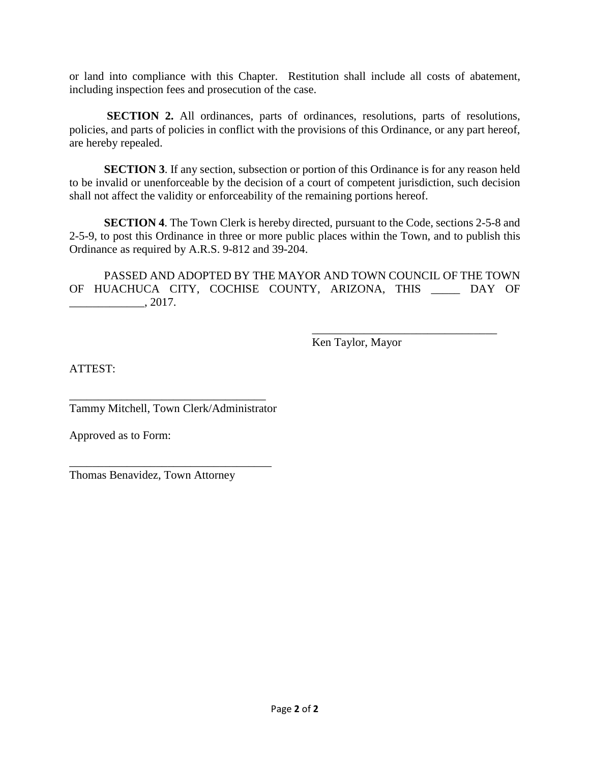or land into compliance with this Chapter. Restitution shall include all costs of abatement, including inspection fees and prosecution of the case.

**SECTION 2.** All ordinances, parts of ordinances, resolutions, parts of resolutions, policies, and parts of policies in conflict with the provisions of this Ordinance, or any part hereof, are hereby repealed.

**SECTION 3**. If any section, subsection or portion of this Ordinance is for any reason held to be invalid or unenforceable by the decision of a court of competent jurisdiction, such decision shall not affect the validity or enforceability of the remaining portions hereof.

**SECTION 4**. The Town Clerk is hereby directed, pursuant to the Code, sections 2-5-8 and 2-5-9, to post this Ordinance in three or more public places within the Town, and to publish this Ordinance as required by A.R.S. 9-812 and 39-204.

PASSED AND ADOPTED BY THE MAYOR AND TOWN COUNCIL OF THE TOWN OF HUACHUCA CITY, COCHISE COUNTY, ARIZONA, THIS \_\_\_\_\_ DAY OF  $\frac{1}{2017}$ .

Ken Taylor, Mayor

 $\overline{\phantom{a}}$  , where  $\overline{\phantom{a}}$  , where  $\overline{\phantom{a}}$  ,  $\overline{\phantom{a}}$  ,  $\overline{\phantom{a}}$  ,  $\overline{\phantom{a}}$  ,  $\overline{\phantom{a}}$  ,  $\overline{\phantom{a}}$  ,  $\overline{\phantom{a}}$  ,  $\overline{\phantom{a}}$  ,  $\overline{\phantom{a}}$  ,  $\overline{\phantom{a}}$  ,  $\overline{\phantom{a}}$  ,  $\overline{\phantom{a}}$  ,  $\overline{\phantom{a}}$  ,

ATTEST:

\_\_\_\_\_\_\_\_\_\_\_\_\_\_\_\_\_\_\_\_\_\_\_\_\_\_\_\_\_\_\_\_\_\_ Tammy Mitchell, Town Clerk/Administrator

\_\_\_\_\_\_\_\_\_\_\_\_\_\_\_\_\_\_\_\_\_\_\_\_\_\_\_\_\_\_\_\_\_\_\_

Approved as to Form:

Thomas Benavidez, Town Attorney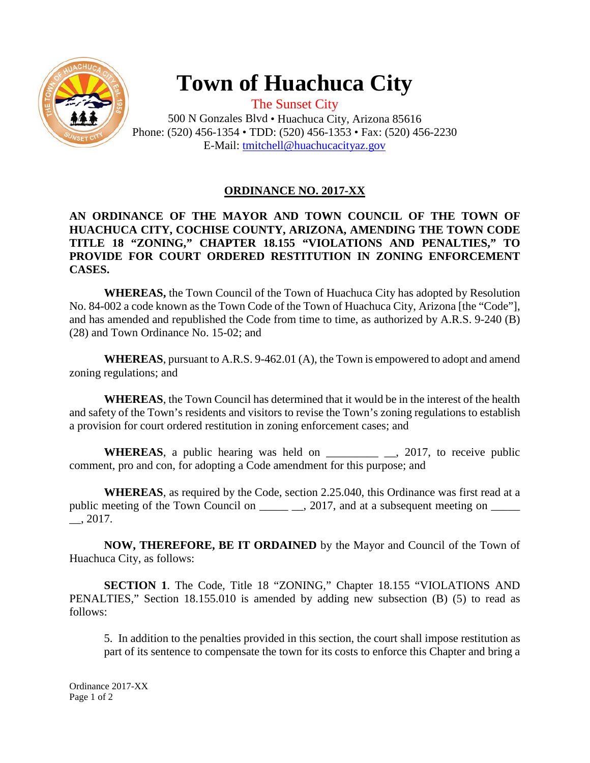

## **Town of Huachuca City**

The Sunset City 500 N Gonzales Blvd • Huachuca City, Arizona 85616 Phone: (520) 456-1354 • TDD: (520) 456-1353 • Fax: (520) 456-2230 E-Mail: [tmitchell@huachucacityaz.gov](mailto:tmitchell@huachucacityaz.gov)

### **ORDINANCE NO. 2017-XX**

#### **AN ORDINANCE OF THE MAYOR AND TOWN COUNCIL OF THE TOWN OF HUACHUCA CITY, COCHISE COUNTY, ARIZONA, AMENDING THE TOWN CODE TITLE 18 "ZONING," CHAPTER 18.155 "VIOLATIONS AND PENALTIES," TO PROVIDE FOR COURT ORDERED RESTITUTION IN ZONING ENFORCEMENT CASES.**

**WHEREAS,** the Town Council of the Town of Huachuca City has adopted by Resolution No. 84-002 a code known as the Town Code of the Town of Huachuca City, Arizona [the "Code"], and has amended and republished the Code from time to time, as authorized by A.R.S. 9-240 (B) (28) and Town Ordinance No. 15-02; and

**WHEREAS**, pursuant to A.R.S. 9-462.01 (A), the Town is empowered to adopt and amend zoning regulations; and

**WHEREAS**, the Town Council has determined that it would be in the interest of the health and safety of the Town's residents and visitors to revise the Town's zoning regulations to establish a provision for court ordered restitution in zoning enforcement cases; and

WHEREAS, a public hearing was held on \_\_\_\_\_\_\_\_\_\_\_\_\_\_\_\_, 2017, to receive public comment, pro and con, for adopting a Code amendment for this purpose; and

**WHEREAS**, as required by the Code, section 2.25.040, this Ordinance was first read at a public meeting of the Town Council on \_\_\_\_\_\_\_\_, 2017, and at a subsequent meeting on \_\_\_\_\_\_ \_\_, 2017.

**NOW, THEREFORE, BE IT ORDAINED** by the Mayor and Council of the Town of Huachuca City, as follows:

**SECTION 1**. The Code, Title 18 "ZONING," Chapter 18.155 "VIOLATIONS AND PENALTIES," Section 18.155.010 is amended by adding new subsection (B) (5) to read as follows:

5. In addition to the penalties provided in this section, the court shall impose restitution as part of its sentence to compensate the town for its costs to enforce this Chapter and bring a

Ordinance 2017-XX Page 1 of 2